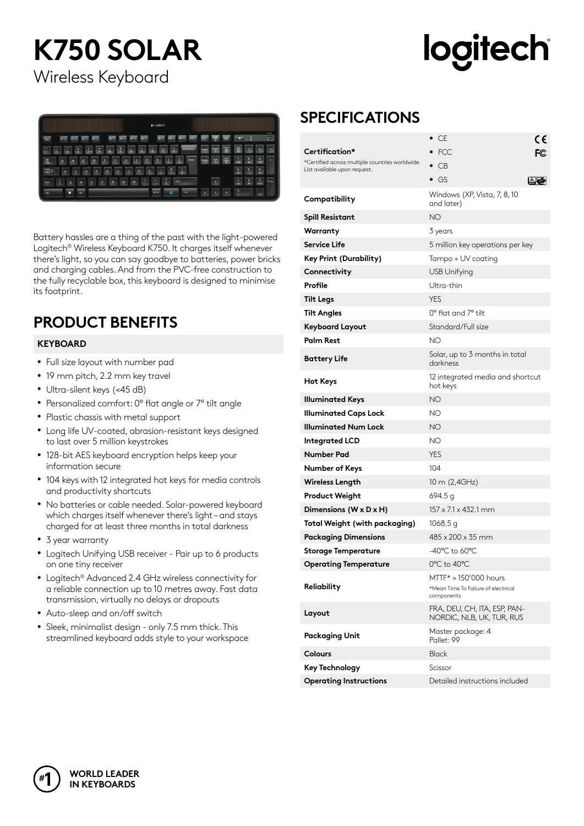# **K750 SOLAR**

# logitech

Wireless Keyboard



Battery hassles are a thing of the past with the light-powered Logitech® Wireless Keyboard K750. It charges itself whenever there's light, so you can say goodbye to batteries, power bricks and charging cables. And from the PVC-free construction to the fully recyclable box, this keyboard is designed to minimise its footprint.

### **PRODUCT BENEFITS**

#### **KEYBOARD**

- Full size layout with number pad
- 19 mm pitch, 2.2 mm key travel
- Ultra-silent keys (<45 dB)
- Personalized comfort: 0° flat angle or 7° tilt angle
- Plastic chassis with metal support
- Long life UV-coated, abrasion-resistant keys designed to last over 5 million keystrokes
- 128-bit AES keyboard encryption helps keep your information secure
- 104 keys with 12 integrated hot keys for media controls and productivity shortcuts
- No batteries or cable needed. Solar-powered keyboard which charges itself whenever there's light – and stays charged for at least three months in total darkness
- 3 year warranty
- Logitech Unifying USB receiver Pair up to 6 products on one tiny receiver
- Logitech<sup>®</sup> Advanced 2.4 GHz wireless connectivity for a reliable connection up to 10 metres away. Fast data transmission, virtually no delays or dropouts
- Auto-sleep and on/off switch
- Sleek, minimalist design only 7.5 mm thick. This streamlined keyboard adds style to your workspace

### **SPECIFICATIONS**

|                                                                                 | - CE<br>CE<br>$\bullet$                                                    |  |  |
|---------------------------------------------------------------------------------|----------------------------------------------------------------------------|--|--|
| Certification*                                                                  | $\bullet$ FCC<br>FC                                                        |  |  |
| *Certified across multiple countries worldwide.<br>List available upon request. | $\bullet$ CB                                                               |  |  |
|                                                                                 | $\bullet$ GS<br>AGI                                                        |  |  |
| Compatibility                                                                   | Windows (XP, Vista, 7, 8, 10<br>and later)                                 |  |  |
| <b>Spill Resistant</b>                                                          | NΟ                                                                         |  |  |
| Warranty                                                                        | 3 years                                                                    |  |  |
| Service Life                                                                    | 5 million key operations per key                                           |  |  |
| Key Print (Durability)                                                          | Tampo + UV coating                                                         |  |  |
| Connectivity                                                                    | <b>USB Unifying</b>                                                        |  |  |
| Profile                                                                         | Ultra-thin                                                                 |  |  |
| <b>Tilt Legs</b>                                                                | <b>YES</b>                                                                 |  |  |
| <b>Tilt Angles</b>                                                              | $0^\circ$ flat and $7^\circ$ tilt                                          |  |  |
| <b>Keyboard Layout</b>                                                          | Standard/Full size                                                         |  |  |
| <b>Palm Rest</b>                                                                | NΟ                                                                         |  |  |
| <b>Battery Life</b>                                                             | Solar, up to 3 months in total<br>darkness                                 |  |  |
| <b>Hot Keys</b>                                                                 | 12 integrated media and shortcut<br>hot keys                               |  |  |
| <b>Illuminated Keys</b>                                                         | NΟ                                                                         |  |  |
| <b>Illuminated Caps Lock</b>                                                    | NΟ                                                                         |  |  |
| <b>Illuminated Num Lock</b>                                                     | ΝO                                                                         |  |  |
| <b>Integrated LCD</b>                                                           | NΟ                                                                         |  |  |
| <b>Number Pad</b>                                                               | <b>YES</b>                                                                 |  |  |
| Number of Keys                                                                  | 104                                                                        |  |  |
| <b>Wireless Length</b>                                                          | 10 m (2,4GHz)                                                              |  |  |
| <b>Product Weight</b>                                                           | 694.5 g                                                                    |  |  |
| Dimensions (W x D x H)                                                          | 157 x 7.1 x 432.1 mm                                                       |  |  |
| <b>Total Weight (with packaging)</b>                                            | 1068.5 g                                                                   |  |  |
| <b>Packaging Dimensions</b>                                                     | $485 \times 200 \times 35$ mm                                              |  |  |
| <b>Storage Temperature</b>                                                      | -40°C to 60°C                                                              |  |  |
| <b>Operating Temperature</b>                                                    | 0°C to 40°C                                                                |  |  |
| Reliability                                                                     | MTTF* > 150'000 hours<br>*Mean Time To Failure of electrical<br>components |  |  |
| Layout                                                                          | FRA, DEU, CH, ITA, ESP, PAN-<br>NORDIC, NLB, UK, TUR, RUS                  |  |  |
| <b>Packaging Unit</b>                                                           | Master package: 4<br>Pallet: 99                                            |  |  |
| <b>Colours</b>                                                                  | <b>Black</b>                                                               |  |  |
| <b>Key Technology</b>                                                           | Scissor                                                                    |  |  |
| <b>Operating Instructions</b>                                                   | Detailed instructions included                                             |  |  |